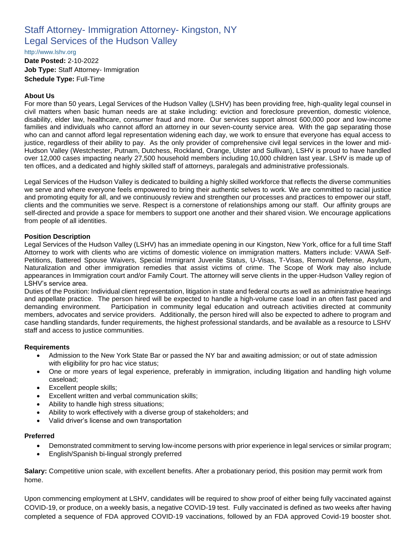# Staff Attorney- Immigration Attorney- Kingston, NY Legal Services of the Hudson Valley

[http://www.lshv.org](http://www.lshv.org/)

**Date Posted:** 2-10-2022 **Job Type:** Staff Attorney- Immigration **Schedule Type:** Full-Time

## **About Us**

For more than 50 years, Legal Services of the Hudson Valley (LSHV) has been providing free, high-quality legal counsel in civil matters when basic human needs are at stake including: eviction and foreclosure prevention, domestic violence, disability, elder law, healthcare, consumer fraud and more. Our services support almost 600,000 poor and low-income families and individuals who cannot afford an attorney in our seven-county service area. With the gap separating those who can and cannot afford legal representation widening each day, we work to ensure that everyone has equal access to justice, regardless of their ability to pay. As the only provider of comprehensive civil legal services in the lower and mid-Hudson Valley (Westchester, Putnam, Dutchess, Rockland, Orange, Ulster and Sullivan), LSHV is proud to have handled over 12,000 cases impacting nearly 27,500 household members including 10,000 children last year. LSHV is made up of ten offices, and a dedicated and highly skilled staff of attorneys, paralegals and administrative professionals.

Legal Services of the Hudson Valley is dedicated to building a highly skilled workforce that reflects the diverse communities we serve and where everyone feels empowered to bring their authentic selves to work. We are committed to racial justice and promoting equity for all, and we continuously review and strengthen our processes and practices to empower our staff, clients and the communities we serve. Respect is a cornerstone of relationships among our staff. Our affinity groups are self-directed and provide a space for members to support one another and their shared vision. We encourage applications from people of all identities.

### **Position Description**

Legal Services of the Hudson Valley (LSHV) has an immediate opening in our Kingston, New York, office for a full time Staff Attorney to work with clients who are victims of domestic violence on immigration matters. Matters include: VAWA Self-Petitions, Battered Spouse Waivers, Special Immigrant Juvenile Status, U-Visas, T-Visas, Removal Defense, Asylum, Naturalization and other immigration remedies that assist victims of crime. The Scope of Work may also include appearances in Immigration court and/or Family Court. The attorney will serve clients in the upper-Hudson Valley region of LSHV's service area.

Duties of the Position: Individual client representation, litigation in state and federal courts as well as administrative hearings and appellate practice. The person hired will be expected to handle a high-volume case load in an often fast paced and demanding environment. Participation in community legal education and outreach activities directed at community members, advocates and service providers. Additionally, the person hired will also be expected to adhere to program and case handling standards, funder requirements, the highest professional standards, and be available as a resource to LSHV staff and access to justice communities.

#### **Requirements**

- Admission to the New York State Bar or passed the NY bar and awaiting admission; or out of state admission with eligibility for pro hac vice status;
- One or more years of legal experience, preferably in immigration, including litigation and handling high volume caseload;
- Excellent people skills;
- Excellent written and verbal communication skills;
- Ability to handle high stress situations;
- Ability to work effectively with a diverse group of stakeholders; and
- Valid driver's license and own transportation

#### **Preferred**

- Demonstrated commitment to serving low-income persons with prior experience in legal services or similar program;
- English/Spanish bi-lingual strongly preferred

**Salary:** Competitive union scale, with excellent benefits. After a probationary period, this position may permit work from home.

Upon commencing employment at LSHV, candidates will be required to show proof of either being fully vaccinated against COVID-19, or produce, on a weekly basis, a negative COVID-19 test. Fully vaccinated is defined as two weeks after having completed a sequence of FDA approved COVID-19 vaccinations, followed by an FDA approved Covid-19 booster shot.